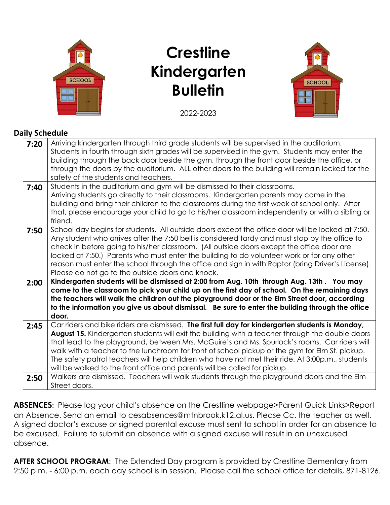

# **Crestline Kindergarten Bulletin**



### 2022-2023

#### **Daily Schedule**

| 7:20 | Arriving kindergarten through third grade students will be supervised in the auditorium.<br>Students in fourth through sixth grades will be supervised in the gym. Students may enter the<br>building through the back door beside the gym, through the front door beside the office, or<br>through the doors by the auditorium. ALL other doors to the building will remain locked for the<br>safety of the students and teachers.                                                                                                                                                      |
|------|------------------------------------------------------------------------------------------------------------------------------------------------------------------------------------------------------------------------------------------------------------------------------------------------------------------------------------------------------------------------------------------------------------------------------------------------------------------------------------------------------------------------------------------------------------------------------------------|
| 7:40 | Students in the auditorium and gym will be dismissed to their classrooms.<br>Arriving students go directly to their classrooms. Kindergarten parents may come in the<br>building and bring their children to the classrooms during the first week of school only. After<br>that, please encourage your child to go to his/her classroom independently or with a sibling or<br>friend.                                                                                                                                                                                                    |
| 7:50 | School day begins for students. All outside doors except the office door will be locked at 7:50.<br>Any student who arrives after the 7:50 bell is considered tardy and must stop by the office to<br>check in before going to his/her classroom. (All outside doors except the office door are<br>locked at 7:50.) Parents who must enter the building to do volunteer work or for any other<br>reason must enter the school through the office and sign in with Raptor (bring Driver's License).<br>Please do not go to the outside doors and knock.                                   |
| 2:00 | Kindergarten students will be dismissed at 2:00 from Aug. 10th through Aug. 13th. You may<br>come to the classroom to pick your child up on the first day of school. On the remaining days<br>the teachers will walk the children out the playground door or the Elm Street door, according<br>to the information you give us about dismissal. Be sure to enter the building through the office<br>door.                                                                                                                                                                                 |
| 2:45 | Car riders and bike riders are dismissed. The first full day for kindergarten students is Monday,<br>August 15. Kindergarten students will exit the building with a teacher through the double doors<br>that lead to the playground, between Mrs. McGuire's and Ms. Spurlock's rooms. Car riders will<br>walk with a teacher to the lunchroom for front of school pickup or the gym for Elm St. pickup.<br>The safety patrol teachers will help children who have not met their ride. At 3:00p.m., students<br>will be walked to the front office and parents will be called for pickup. |
| 2:50 | Walkers are dismissed. Teachers will walk students through the playground doors and the Elm<br>Street doors.                                                                                                                                                                                                                                                                                                                                                                                                                                                                             |

**ABSENCES**: Please log your child's absence on the Crestline webpage>Parent Quick Links>Report an Absence. Send an email to cesabsences@mtnbrook.k12.al.us. Please Cc. the teacher as well. A signed doctor's excuse or signed parental excuse must sent to school in order for an absence to be excused. Failure to submit an absence with a signed excuse will result in an unexcused absence.

**AFTER SCHOOL PROGRAM:** The Extended Day program is provided by Crestline Elementary from 2:50 p.m. - 6:00 p.m. each day school is in session. Please call the school office for details, 871-8126.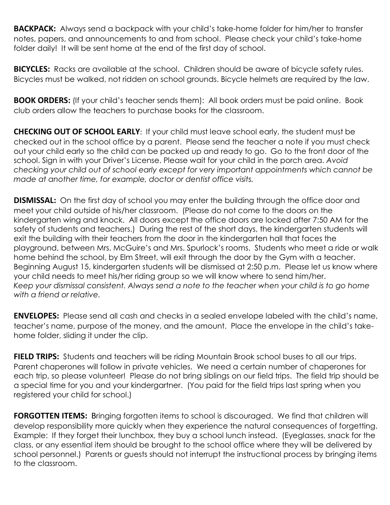**BACKPACK:** Always send a backpack with your child's take-home folder for him/her to transfer notes, papers, and announcements to and from school. Please check your child's take-home folder daily! It will be sent home at the end of the first day of school.

**BICYCLES:** Racks are available at the school. Children should be aware of bicycle safety rules. Bicycles must be walked, not ridden on school grounds. Bicycle helmets are required by the law.

**BOOK ORDERS:** (If your child's teacher sends them): All book orders must be paid online. Book club orders allow the teachers to purchase books for the classroom.

**CHECKING OUT OF SCHOOL EARLY**: If your child must leave school early, the student must be checked out in the school office by a parent. Please send the teacher a note if you must check out your child early so the child can be packed up and ready to go. Go to the front door of the school. Sign in with your Driver's License. Please wait for your child in the porch area. *Avoid checking your child out of school early except for very important appointments which cannot be made at another time, for example, doctor or dentist office visits.* 

**DISMISSAL:** On the first day of school you may enter the building through the office door and meet your child outside of his/her classroom. (Please do not come to the doors on the kindergarten wing and knock. All doors except the office doors are locked after 7:50 AM for the safety of students and teachers.) During the rest of the short days, the kindergarten students will exit the building with their teachers from the door in the kindergarten hall that faces the playground, between Mrs. McGuire's and Mrs. Spurlock's rooms. Students who meet a ride or walk home behind the school, by Elm Street, will exit through the door by the Gym with a teacher. Beginning August 15, kindergarten students will be dismissed at 2:50 p.m. Please let us know where your child needs to meet his/her riding group so we will know where to send him/her. *Keep your dismissal consistent. Always send a note to the teacher when your child is to go home with a friend or relative.*

**ENVELOPES:** Please send all cash and checks in a sealed envelope labeled with the child's name, teacher's name, purpose of the money, and the amount. Place the envelope in the child's takehome folder, sliding it under the clip.

**FIELD TRIPS:** Students and teachers will be riding Mountain Brook school buses to all our trips. Parent chaperones will follow in private vehicles. We need a certain number of chaperones for each trip, so please volunteer! Please do not bring siblings on our field trips. The field trip should be a special time for you and your kindergartner. (You paid for the field trips last spring when you registered your child for school.)

**FORGOTTEN ITEMS:** Bringing forgotten items to school is discouraged. We find that children will develop responsibility more quickly when they experience the natural consequences of forgetting. Example: If they forget their lunchbox, they buy a school lunch instead. (Eyeglasses, snack for the class, or any essential item should be brought to the school office where they will be delivered by school personnel.) Parents or guests should not interrupt the instructional process by bringing items to the classroom.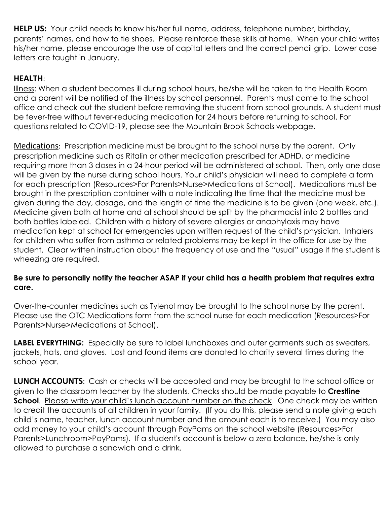**HELP US:** Your child needs to know his/her full name, address, telephone number, birthday, parents' names, and how to tie shoes. Please reinforce these skills at home. When your child writes his/her name, please encourage the use of capital letters and the correct pencil grip. Lower case letters are taught in January.

## **HEALTH**:

Illness: When a student becomes ill during school hours, he/she will be taken to the Health Room and a parent will be notified of the illness by school personnel. Parents must come to the school office and check out the student before removing the student from school grounds. A student must be fever-free without fever-reducing medication for 24 hours before returning to school. For questions related to COVID-19, please see the Mountain Brook Schools webpage.

Medications: Prescription medicine must be brought to the school nurse by the parent. Only prescription medicine such as Ritalin or other medication prescribed for ADHD, or medicine requiring more than 3 doses in a 24-hour period will be administered at school. Then, only one dose will be given by the nurse during school hours. Your child's physician will need to complete a form for each prescription (Resources>For Parents>Nurse>Medications at School). Medications must be brought in the prescription container with a note indicating the time that the medicine must be given during the day, dosage, and the length of time the medicine is to be given (one week, etc.). Medicine given both at home and at school should be split by the pharmacist into 2 bottles and both bottles labeled. Children with a history of severe allergies or anaphylaxis may have medication kept at school for emergencies upon written request of the child's physician. Inhalers for children who suffer from asthma or related problems may be kept in the office for use by the student. Clear written instruction about the frequency of use and the "usual" usage if the student is wheezing are required.

#### **Be sure to personally notify the teacher ASAP if your child has a health problem that requires extra care.**

Over-the-counter medicines such as Tylenol may be brought to the school nurse by the parent. Please use the OTC Medications form from the school nurse for each medication (Resources>For Parents>Nurse>Medications at School).

**LABEL EVERYTHING:** Especially be sure to label lunchboxes and outer garments such as sweaters, jackets, hats, and gloves. Lost and found items are donated to charity several times during the school year.

**LUNCH ACCOUNTS:** Cash or checks will be accepted and may be brought to the school office or given to the classroom teacher by the students. Checks should be made payable to **Crestline School**. Please write your child's lunch account number on the check. One check may be written to credit the accounts of all children in your family. (If you do this, please send a note giving each child's name, teacher, lunch account number and the amount each is to receive.) You may also add money to your child's account through PayPams on the school website (Resources>For Parents>Lunchroom>PayPams). If a student's account is below a zero balance, he/she is only allowed to purchase a sandwich and a drink.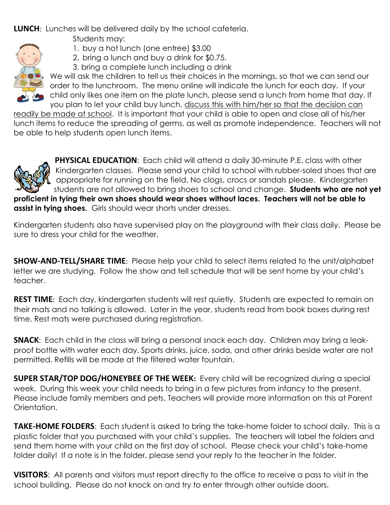**LUNCH**: Lunches will be delivered daily by the school cafeteria.

Students may:

- 1. buy a hot lunch (one entree) \$3.00
- 2. bring a lunch and buy a drink for \$0.75.
- 3. bring a complete lunch including a drink



We will ask the children to tell us their choices in the mornings, so that we can send our order to the lunchroom. The menu online will indicate the lunch for each day. If your child only likes one item on the plate lunch, please send a lunch from home that day. If you plan to let your child buy lunch, discuss this with him/her so that the decision can

readily be made at school. It is important that your child is able to open and close all of his/her lunch items to reduce the spreading of germs, as well as promote independence. Teachers will not be able to help students open lunch items.



**PHYSICAL EDUCATION:** Each child will attend a daily 30-minute P.E. class with other Kindergarten classes. Please send your child to school with rubber-soled shoes that are appropriate for running on the field. No clogs, crocs or sandals please. Kindergarten students are not allowed to bring shoes to school and change. **Students who are not yet proficient in tying their own shoes should wear shoes without laces. Teachers will not be able to** 

**assist in tying shoes.** Girls should wear shorts under dresses.

Kindergarten students also have supervised play on the playground with their class daily. Please be sure to dress your child for the weather.

**SHOW-AND-TELL/SHARE TIME**: Please help your child to select items related to the unit/alphabet letter we are studying. Follow the show and tell schedule that will be sent home by your child's teacher.

**REST TIME**: Each day, kindergarten students will rest quietly. Students are expected to remain on their mats and no talking is allowed. Later in the year, students read from book boxes during rest time. Rest mats were purchased during registration.

**SNACK**: Each child in the class will bring a personal snack each day. Children may bring a leakproof bottle with water each day. Sports drinks, juice, soda, and other drinks beside water are not permitted. Refills will be made at the filtered water fountain.

**SUPER STAR/TOP DOG/HONEYBEE OF THE WEEK:** Every child will be recognized during a special week. During this week your child needs to bring in a few pictures from infancy to the present. Please include family members and pets. Teachers will provide more information on this at Parent Orientation.

**TAKE-HOME FOLDERS**: Each student is asked to bring the take-home folder to school daily. This is a plastic folder that you purchased with your child's supplies. The teachers will label the folders and send them home with your child on the first day of school. Please check your child's take-home folder daily! If a note is in the folder, please send your reply to the teacher in the folder.

**VISITORS**: All parents and visitors must report directly to the office to receive a pass to visit in the school building. Please do not knock on and try to enter through other outside doors.